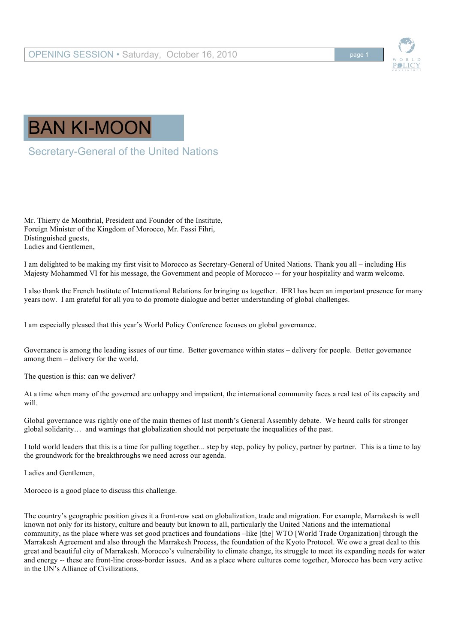

## BAN KI-MOON

Secretary-General of the United Nations

Mr. Thierry de Montbrial, President and Founder of the Institute, Foreign Minister of the Kingdom of Morocco, Mr. Fassi Fihri, Distinguished guests, Ladies and Gentlemen,

I am delighted to be making my first visit to Morocco as Secretary-General of United Nations. Thank you all – including His Majesty Mohammed VI for his message, the Government and people of Morocco -- for your hospitality and warm welcome.

I also thank the French Institute of International Relations for bringing us together. IFRI has been an important presence for many years now. I am grateful for all you to do promote dialogue and better understanding of global challenges.

I am especially pleased that this year's World Policy Conference focuses on global governance.

Governance is among the leading issues of our time. Better governance within states – delivery for people. Better governance among them – delivery for the world.

The question is this: can we deliver?

At a time when many of the governed are unhappy and impatient, the international community faces a real test of its capacity and will.

Global governance was rightly one of the main themes of last month's General Assembly debate. We heard calls for stronger global solidarity… and warnings that globalization should not perpetuate the inequalities of the past.

I told world leaders that this is a time for pulling together... step by step, policy by policy, partner by partner. This is a time to lay the groundwork for the breakthroughs we need across our agenda.

Ladies and Gentlemen,

Morocco is a good place to discuss this challenge.

The country's geographic position gives it a front-row seat on globalization, trade and migration. For example, Marrakesh is well known not only for its history, culture and beauty but known to all, particularly the United Nations and the international community, as the place where was set good practices and foundations –like [the] WTO [World Trade Organization] through the Marrakesh Agreement and also through the Marrakesh Process, the foundation of the Kyoto Protocol. We owe a great deal to this great and beautiful city of Marrakesh. Morocco's vulnerability to climate change, its struggle to meet its expanding needs for water and energy -- these are front-line cross-border issues. And as a place where cultures come together, Morocco has been very active in the UN's Alliance of Civilizations.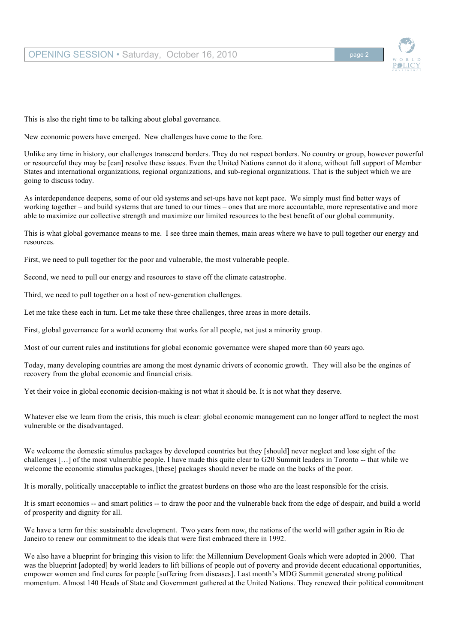

This is also the right time to be talking about global governance.

New economic powers have emerged. New challenges have come to the fore.

Unlike any time in history, our challenges transcend borders. They do not respect borders. No country or group, however powerful or resourceful they may be [can] resolve these issues. Even the United Nations cannot do it alone, without full support of Member States and international organizations, regional organizations, and sub-regional organizations. That is the subject which we are going to discuss today.

As interdependence deepens, some of our old systems and set-ups have not kept pace. We simply must find better ways of working together – and build systems that are tuned to our times – ones that are more accountable, more representative and more able to maximize our collective strength and maximize our limited resources to the best benefit of our global community.

This is what global governance means to me. I see three main themes, main areas where we have to pull together our energy and resources.

First, we need to pull together for the poor and vulnerable, the most vulnerable people.

Second, we need to pull our energy and resources to stave off the climate catastrophe.

Third, we need to pull together on a host of new-generation challenges.

Let me take these each in turn. Let me take these three challenges, three areas in more details.

First, global governance for a world economy that works for all people, not just a minority group.

Most of our current rules and institutions for global economic governance were shaped more than 60 years ago.

Today, many developing countries are among the most dynamic drivers of economic growth. They will also be the engines of recovery from the global economic and financial crisis.

Yet their voice in global economic decision-making is not what it should be. It is not what they deserve.

Whatever else we learn from the crisis, this much is clear: global economic management can no longer afford to neglect the most vulnerable or the disadvantaged.

We welcome the domestic stimulus packages by developed countries but they [should] never neglect and lose sight of the challenges […] of the most vulnerable people. I have made this quite clear to G20 Summit leaders in Toronto -- that while we welcome the economic stimulus packages, [these] packages should never be made on the backs of the poor.

It is morally, politically unacceptable to inflict the greatest burdens on those who are the least responsible for the crisis.

It is smart economics -- and smart politics -- to draw the poor and the vulnerable back from the edge of despair, and build a world of prosperity and dignity for all.

We have a term for this: sustainable development. Two years from now, the nations of the world will gather again in Rio de Janeiro to renew our commitment to the ideals that were first embraced there in 1992.

We also have a blueprint for bringing this vision to life: the Millennium Development Goals which were adopted in 2000. That was the blueprint [adopted] by world leaders to lift billions of people out of poverty and provide decent educational opportunities, empower women and find cures for people [suffering from diseases]. Last month's MDG Summit generated strong political momentum. Almost 140 Heads of State and Government gathered at the United Nations. They renewed their political commitment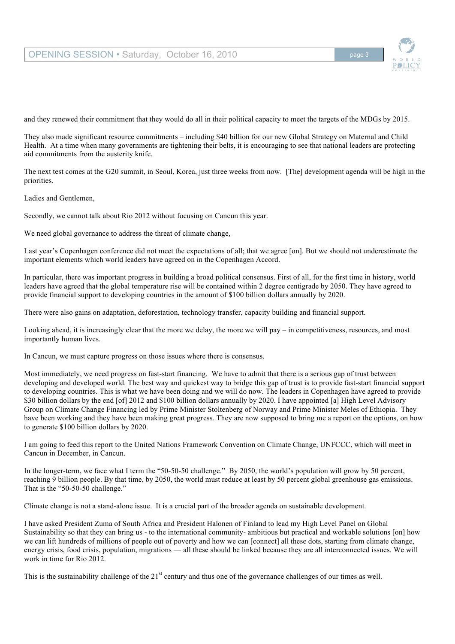## OPENING SESSION • Saturday, October 16, 2010



and they renewed their commitment that they would do all in their political capacity to meet the targets of the MDGs by 2015.

They also made significant resource commitments – including \$40 billion for our new Global Strategy on Maternal and Child Health. At a time when many governments are tightening their belts, it is encouraging to see that national leaders are protecting aid commitments from the austerity knife.

The next test comes at the G20 summit, in Seoul, Korea, just three weeks from now. [The] development agenda will be high in the priorities.

Ladies and Gentlemen,

Secondly, we cannot talk about Rio 2012 without focusing on Cancun this year.

We need global governance to address the threat of climate change.

Last year's Copenhagen conference did not meet the expectations of all; that we agree [on]. But we should not underestimate the important elements which world leaders have agreed on in the Copenhagen Accord.

In particular, there was important progress in building a broad political consensus. First of all, for the first time in history, world leaders have agreed that the global temperature rise will be contained within 2 degree centigrade by 2050. They have agreed to provide financial support to developing countries in the amount of \$100 billion dollars annually by 2020.

There were also gains on adaptation, deforestation, technology transfer, capacity building and financial support.

Looking ahead, it is increasingly clear that the more we delay, the more we will pay – in competitiveness, resources, and most importantly human lives.

In Cancun, we must capture progress on those issues where there is consensus.

Most immediately, we need progress on fast-start financing. We have to admit that there is a serious gap of trust between developing and developed world. The best way and quickest way to bridge this gap of trust is to provide fast-start financial support to developing countries. This is what we have been doing and we will do now. The leaders in Copenhagen have agreed to provide \$30 billion dollars by the end [of] 2012 and \$100 billion dollars annually by 2020. I have appointed [a] High Level Advisory Group on Climate Change Financing led by Prime Minister Stoltenberg of Norway and Prime Minister Meles of Ethiopia. They have been working and they have been making great progress. They are now supposed to bring me a report on the options, on how to generate \$100 billion dollars by 2020.

I am going to feed this report to the United Nations Framework Convention on Climate Change, UNFCCC, which will meet in Cancun in December, in Cancun.

In the longer-term, we face what I term the "50-50-50 challenge." By 2050, the world's population will grow by 50 percent, reaching 9 billion people. By that time, by 2050, the world must reduce at least by 50 percent global greenhouse gas emissions. That is the "50-50-50 challenge."

Climate change is not a stand-alone issue. It is a crucial part of the broader agenda on sustainable development.

I have asked President Zuma of South Africa and President Halonen of Finland to lead my High Level Panel on Global Sustainability so that they can bring us - to the international community- ambitious but practical and workable solutions [on] how we can lift hundreds of millions of people out of poverty and how we can [connect] all these dots, starting from climate change, energy crisis, food crisis, population, migrations — all these should be linked because they are all interconnected issues. We will work in time for Rio 2012.

This is the sustainability challenge of the  $21<sup>st</sup>$  century and thus one of the governance challenges of our times as well.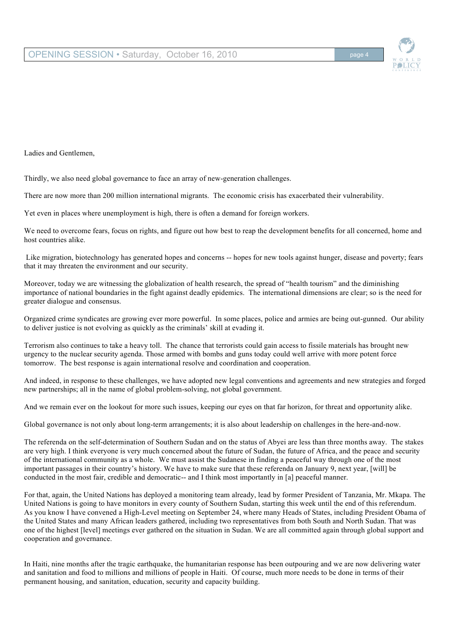Ladies and Gentlemen,

Thirdly, we also need global governance to face an array of new-generation challenges.

There are now more than 200 million international migrants. The economic crisis has exacerbated their vulnerability.

Yet even in places where unemployment is high, there is often a demand for foreign workers.

We need to overcome fears, focus on rights, and figure out how best to reap the development benefits for all concerned, home and host countries alike.

Like migration, biotechnology has generated hopes and concerns -- hopes for new tools against hunger, disease and poverty; fears that it may threaten the environment and our security.

Moreover, today we are witnessing the globalization of health research, the spread of "health tourism" and the diminishing importance of national boundaries in the fight against deadly epidemics. The international dimensions are clear; so is the need for greater dialogue and consensus.

Organized crime syndicates are growing ever more powerful. In some places, police and armies are being out-gunned. Our ability to deliver justice is not evolving as quickly as the criminals' skill at evading it.

Terrorism also continues to take a heavy toll. The chance that terrorists could gain access to fissile materials has brought new urgency to the nuclear security agenda. Those armed with bombs and guns today could well arrive with more potent force tomorrow. The best response is again international resolve and coordination and cooperation.

And indeed, in response to these challenges, we have adopted new legal conventions and agreements and new strategies and forged new partnerships; all in the name of global problem-solving, not global government.

And we remain ever on the lookout for more such issues, keeping our eyes on that far horizon, for threat and opportunity alike.

Global governance is not only about long-term arrangements; it is also about leadership on challenges in the here-and-now.

The referenda on the self-determination of Southern Sudan and on the status of Abyei are less than three months away. The stakes are very high. I think everyone is very much concerned about the future of Sudan, the future of Africa, and the peace and security of the international community as a whole. We must assist the Sudanese in finding a peaceful way through one of the most important passages in their country's history. We have to make sure that these referenda on January 9, next year, [will] be conducted in the most fair, credible and democratic-- and I think most importantly in [a] peaceful manner.

For that, again, the United Nations has deployed a monitoring team already, lead by former President of Tanzania, Mr. Mkapa. The United Nations is going to have monitors in every county of Southern Sudan, starting this week until the end of this referendum. As you know I have convened a High-Level meeting on September 24, where many Heads of States, including President Obama of the United States and many African leaders gathered, including two representatives from both South and North Sudan. That was one of the highest [level] meetings ever gathered on the situation in Sudan. We are all committed again through global support and cooperation and governance.

In Haiti, nine months after the tragic earthquake, the humanitarian response has been outpouring and we are now delivering water and sanitation and food to millions and millions of people in Haiti. Of course, much more needs to be done in terms of their permanent housing, and sanitation, education, security and capacity building.